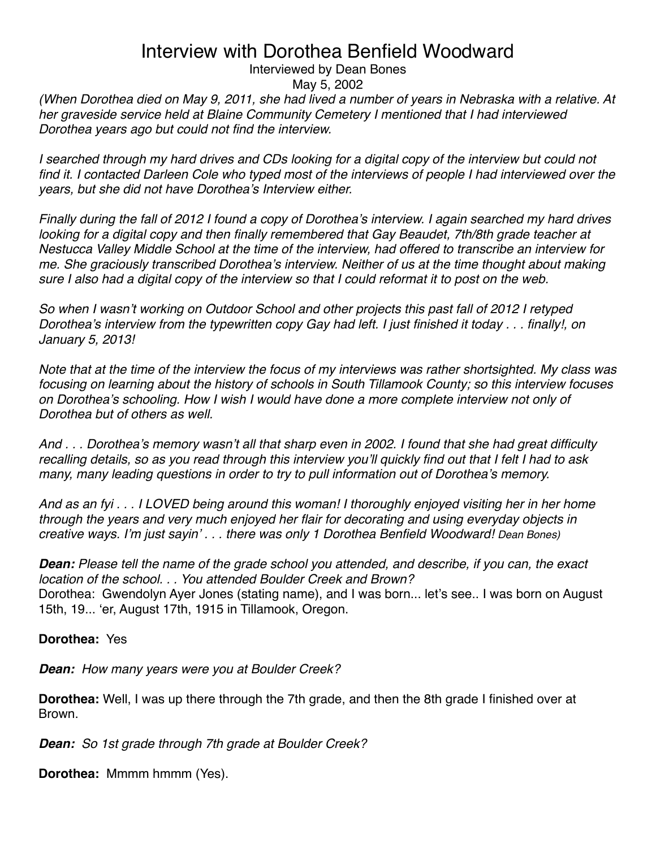Interviewed by Dean Bones

May 5, 2002

*(When Dorothea died on May 9, 2011, she had lived a number of years in Nebraska with a relative. At her graveside service held at Blaine Community Cemetery I mentioned that I had interviewed Dorothea years ago but could not find the interview.*

*I* searched through my hard drives and CDs looking for a digital copy of the interview but could not find it. I contacted Darleen Cole who typed most of the interviews of people I had interviewed over the *years, but she did not have Dorothea*'*s Interview either.* 

*Finally during the fall of 2012 I found a copy of Dorothea*'*s interview. I again searched my hard drives*  looking for a digital copy and then finally remembered that Gay Beaudet, 7th/8th grade teacher at *Nestucca Valley Middle School at the time of the interview, had offered to transcribe an interview for me. She graciously transcribed Dorothea*'*s interview. Neither of us at the time thought about making sure I also had a digital copy of the interview so that I could reformat it to post on the web.*

*So when I wasn*'*t working on Outdoor School and other projects this past fall of 2012 I retyped Dorothea*'*s interview from the typewritten copy Gay had left. I just finished it today . . . finally!, on January 5, 2013!*

*Note that at the time of the interview the focus of my interviews was rather shortsighted. My class was focusing on learning about the history of schools in South Tillamook County; so this interview focuses on Dorothea*'*s schooling. How I wish I would have done a more complete interview not only of Dorothea but of others as well.*

*And . . . Dorothea*'*s memory wasn*'*t all that sharp even in 2002. I found that she had great difficulty recalling details, so as you read through this interview you*'*ll quickly find out that I felt I had to ask many, many leading questions in order to try to pull information out of Dorothea*'*s memory.*

*And as an fyi . . . I LOVED being around this woman! I thoroughly enjoyed visiting her in her home through the years and very much enjoyed her flair for decorating and using everyday objects in creative ways. I*'*m just sayin*' *. . . there was only 1 Dorothea Benfield Woodward! Dean Bones)*

*Dean: Please tell the name of the grade school you attended, and describe, if you can, the exact location of the school. . . You attended Boulder Creek and Brown?* Dorothea: Gwendolyn Ayer Jones (stating name), and I was born... let's see.. I was born on August 15th, 19... ʻer, August 17th, 1915 in Tillamook, Oregon.

**Dorothea:** Yes

*Dean: How many years were you at Boulder Creek?*

**Dorothea:** Well, I was up there through the 7th grade, and then the 8th grade I finished over at Brown.

*Dean: So 1st grade through 7th grade at Boulder Creek?*

**Dorothea:** Mmmm hmmm (Yes).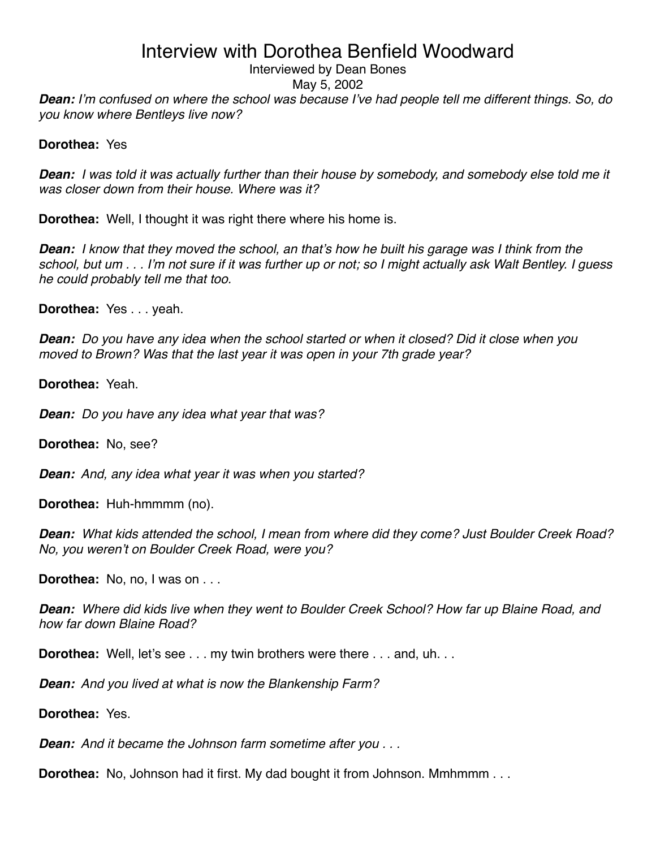#### Interviewed by Dean Bones

May 5, 2002

*Dean: I*'*m confused on where the school was because I*'*ve had people tell me different things. So, do you know where Bentleys live now?*

#### **Dorothea:** Yes

*Dean: I was told it was actually further than their house by somebody, and somebody else told me it was closer down from their house. Where was it?*

**Dorothea:** Well, I thought it was right there where his home is.

*Dean: I know that they moved the school, an that*'*s how he built his garage was I think from the school, but um . . . I*'*m not sure if it was further up or not; so I might actually ask Walt Bentley. I guess he could probably tell me that too.*

**Dorothea:** Yes . . . yeah.

*Dean: Do you have any idea when the school started or when it closed? Did it close when you moved to Brown? Was that the last year it was open in your 7th grade year?*

**Dorothea:** Yeah.

*Dean: Do you have any idea what year that was?*

**Dorothea:** No, see?

*Dean: And, any idea what year it was when you started?*

**Dorothea:** Huh-hmmmm (no).

*Dean: What kids attended the school, I mean from where did they come? Just Boulder Creek Road? No, you weren*'*t on Boulder Creek Road, were you?*

**Dorothea:** No, no, I was on . . .

*Dean: Where did kids live when they went to Boulder Creek School? How far up Blaine Road, and how far down Blaine Road?*

**Dorothea:** Well, let's see . . . my twin brothers were there . . . and, uh. . .

*Dean: And you lived at what is now the Blankenship Farm?*

**Dorothea:** Yes.

*Dean: And it became the Johnson farm sometime after you . . .* 

**Dorothea:** No, Johnson had it first. My dad bought it from Johnson. Mmhmmm . . .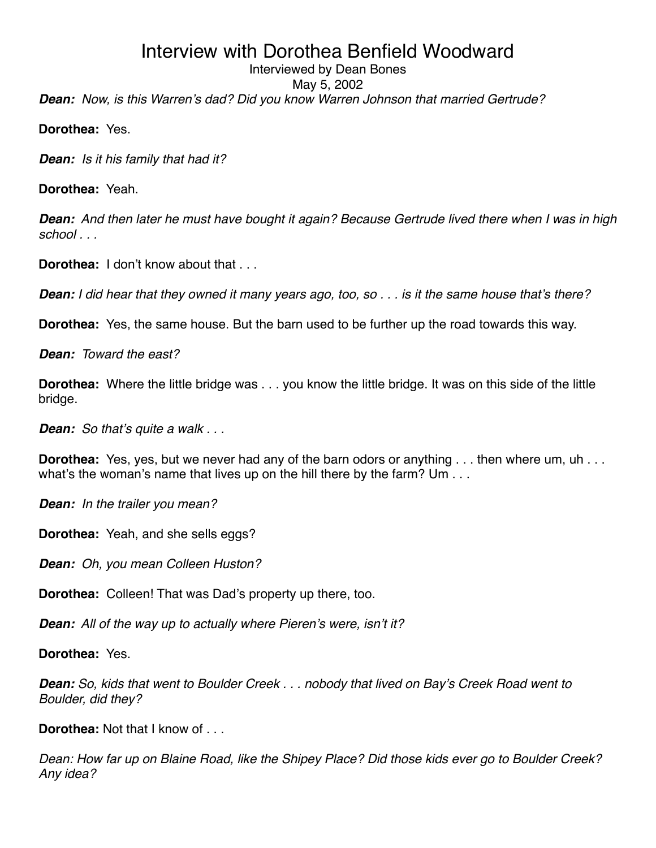#### *Dean: Now, is this Warren*'*s dad? Did you know Warren Johnson that married Gertrude?* Interviewed by Dean Bones May 5, 2002

**Dorothea:** Yes.

*Dean: Is it his family that had it?*

**Dorothea:** Yeah.

*Dean: And then later he must have bought it again? Because Gertrude lived there when I was in high school . . .*

**Dorothea:** I don't know about that . . .

*Dean: I did hear that they owned it many years ago, too, so . . . is it the same house that*'*s there?* 

**Dorothea:** Yes, the same house. But the barn used to be further up the road towards this way.

*Dean: Toward the east?*

**Dorothea:** Where the little bridge was . . . you know the little bridge. It was on this side of the little bridge.

*Dean: So that*'*s quite a walk . . .*

**Dorothea:** Yes, yes, but we never had any of the barn odors or anything . . . then where um, uh . . . what's the woman's name that lives up on the hill there by the farm? Um . . .

*Dean: In the trailer you mean?*

**Dorothea:** Yeah, and she sells eggs?

*Dean: Oh, you mean Colleen Huston?*

**Dorothea:** Colleen! That was Dad's property up there, too.

*Dean: All of the way up to actually where Pieren*'*s were, isn*'*t it?*

**Dorothea:** Yes.

*Dean: So, kids that went to Boulder Creek . . . nobody that lived on Bay*'*s Creek Road went to Boulder, did they?*

**Dorothea:** Not that I know of . . .

*Dean: How far up on Blaine Road, like the Shipey Place? Did those kids ever go to Boulder Creek? Any idea?*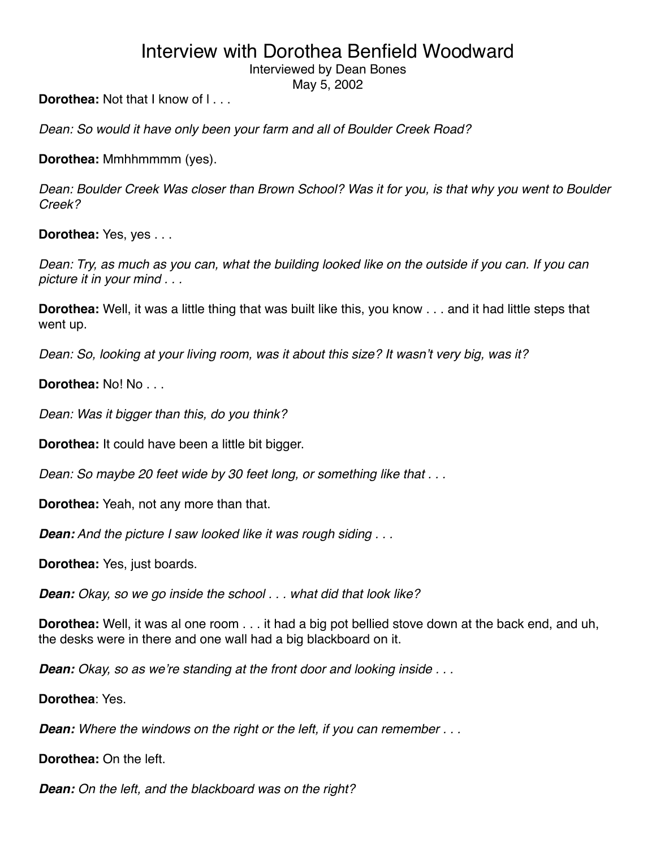Interviewed by Dean Bones

May 5, 2002

**Dorothea:** Not that I know of I...

*Dean: So would it have only been your farm and all of Boulder Creek Road?*

**Dorothea:** Mmhhmmmm (yes).

*Dean: Boulder Creek Was closer than Brown School? Was it for you, is that why you went to Boulder Creek?*

**Dorothea:** Yes, yes . . .

*Dean: Try, as much as you can, what the building looked like on the outside if you can. If you can picture it in your mind . . .* 

**Dorothea:** Well, it was a little thing that was built like this, you know . . . and it had little steps that went up.

*Dean: So, looking at your living room, was it about this size? It wasn*'*t very big, was it?*

**Dorothea:** No! No . . .

*Dean: Was it bigger than this, do you think?*

**Dorothea:** It could have been a little bit bigger.

*Dean: So maybe 20 feet wide by 30 feet long, or something like that . . .*

**Dorothea:** Yeah, not any more than that.

*Dean: And the picture I saw looked like it was rough siding . . .*

**Dorothea:** Yes, just boards.

*Dean: Okay, so we go inside the school . . . what did that look like?*

**Dorothea:** Well, it was al one room . . . it had a big pot bellied stove down at the back end, and uh, the desks were in there and one wall had a big blackboard on it.

*Dean: Okay, so as we*'*re standing at the front door and looking inside . . .*

**Dorothea**: Yes.

*Dean: Where the windows on the right or the left, if you can remember . . .*

**Dorothea:** On the left.

*Dean: On the left, and the blackboard was on the right?*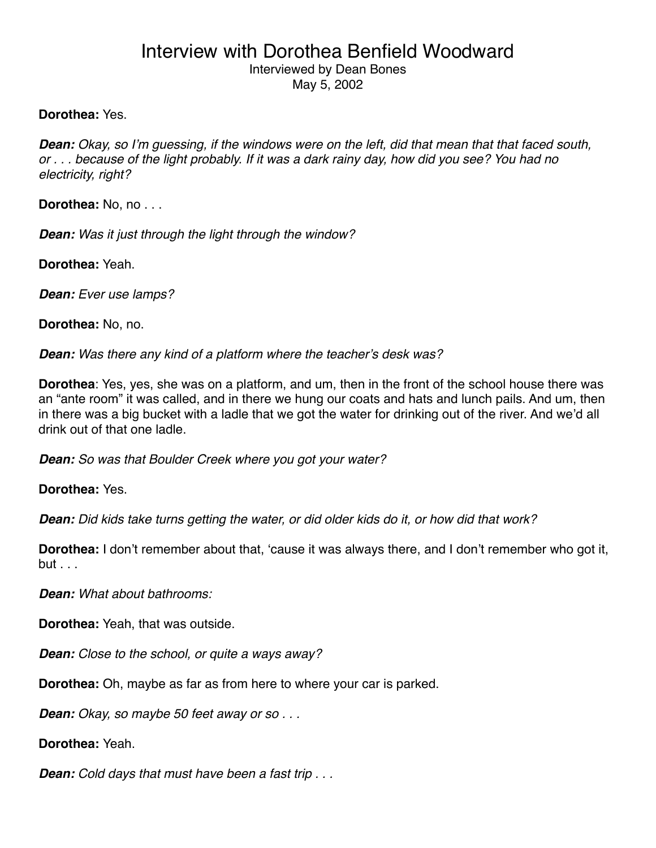### Interview with Dorothea Benfield Woodward Interviewed by Dean Bones May 5, 2002

#### **Dorothea:** Yes.

*Dean: Okay, so I*'*m guessing, if the windows were on the left, did that mean that that faced south, or . . . because of the light probably. If it was a dark rainy day, how did you see? You had no electricity, right?*

**Dorothea:** No, no . . .

*Dean: Was it just through the light through the window?*

**Dorothea:** Yeah.

*Dean: Ever use lamps?*

**Dorothea:** No, no.

*Dean: Was there any kind of a platform where the teacher*'*s desk was?*

**Dorothea**: Yes, yes, she was on a platform, and um, then in the front of the school house there was an "ante room" it was called, and in there we hung our coats and hats and lunch pails. And um, then in there was a big bucket with a ladle that we got the water for drinking out of the river. And we'd all drink out of that one ladle.

*Dean: So was that Boulder Creek where you got your water?*

**Dorothea:** Yes.

*Dean: Did kids take turns getting the water, or did older kids do it, or how did that work?*

**Dorothea:** I don't remember about that, ʻcause it was always there, and I don't remember who got it, but . . .

*Dean: What about bathrooms:*

**Dorothea:** Yeah, that was outside.

*Dean: Close to the school, or quite a ways away?*

**Dorothea:** Oh, maybe as far as from here to where your car is parked.

*Dean: Okay, so maybe 50 feet away or so . . .*

**Dorothea:** Yeah.

*Dean: Cold days that must have been a fast trip . . .*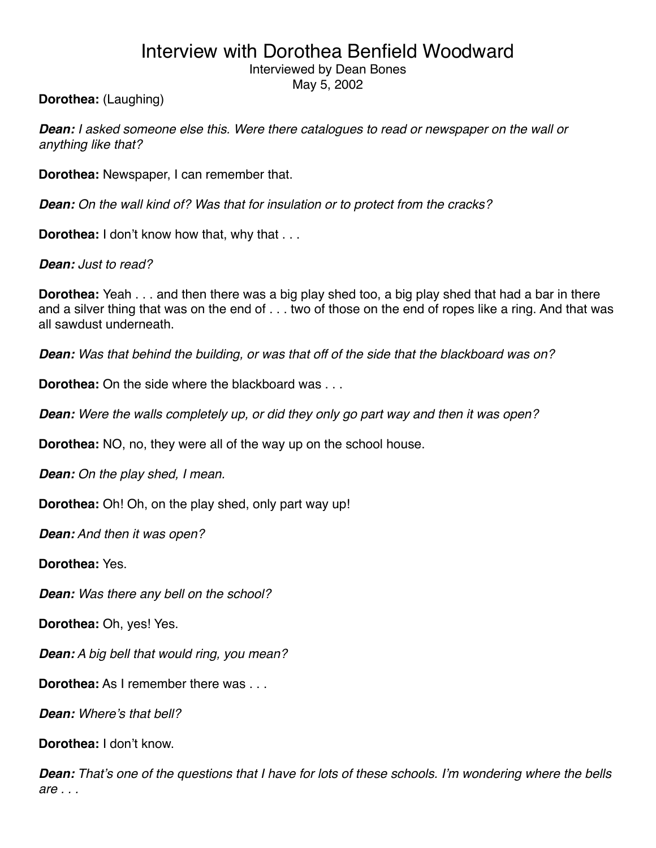Interviewed by Dean Bones

May 5, 2002

**Dorothea:** (Laughing)

*Dean: I asked someone else this. Were there catalogues to read or newspaper on the wall or anything like that?*

**Dorothea:** Newspaper, I can remember that.

*Dean: On the wall kind of? Was that for insulation or to protect from the cracks?*

**Dorothea:** I don't know how that, why that ...

*Dean: Just to read?*

**Dorothea:** Yeah . . . and then there was a big play shed too, a big play shed that had a bar in there and a silver thing that was on the end of . . . two of those on the end of ropes like a ring. And that was all sawdust underneath.

*Dean: Was that behind the building, or was that off of the side that the blackboard was on?*

**Dorothea:** On the side where the blackboard was . . .

*Dean: Were the walls completely up, or did they only go part way and then it was open?*

**Dorothea:** NO, no, they were all of the way up on the school house.

*Dean: On the play shed, I mean.*

**Dorothea:** Oh! Oh, on the play shed, only part way up!

*Dean: And then it was open?*

**Dorothea:** Yes.

*Dean: Was there any bell on the school?*

**Dorothea:** Oh, yes! Yes.

*Dean: A big bell that would ring, you mean?*

**Dorothea:** As I remember there was . . .

*Dean: Where*'*s that bell?*

**Dorothea:** I don't know.

*Dean: That*'*s one of the questions that I have for lots of these schools. I*'*m wondering where the bells are . . .*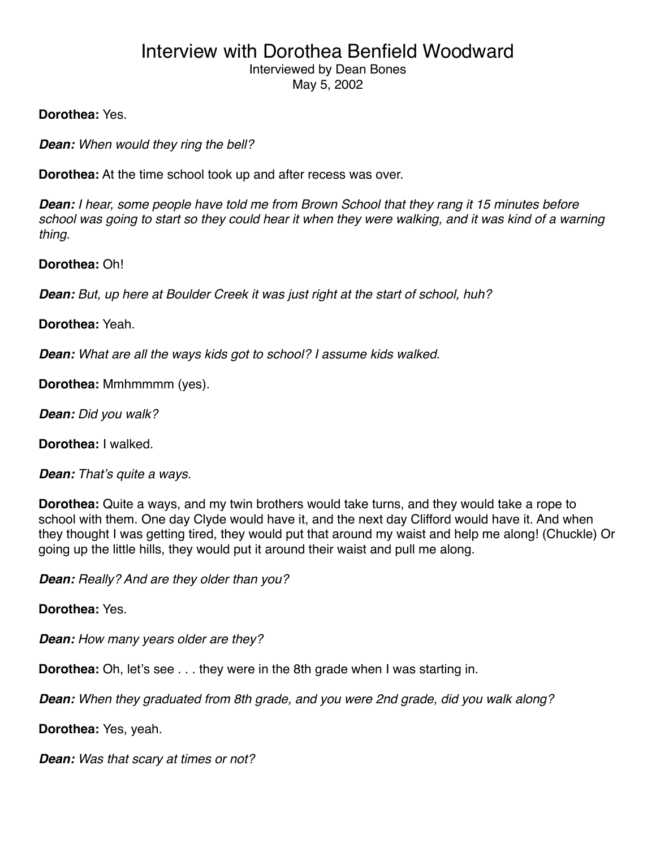### Interview with Dorothea Benfield Woodward Interviewed by Dean Bones May 5, 2002

**Dorothea:** Yes.

*Dean: When would they ring the bell?*

**Dorothea:** At the time school took up and after recess was over.

*Dean: I hear, some people have told me from Brown School that they rang it 15 minutes before school was going to start so they could hear it when they were walking, and it was kind of a warning thing.*

**Dorothea:** Oh!

*Dean: But, up here at Boulder Creek it was just right at the start of school, huh?*

**Dorothea:** Yeah.

*Dean: What are all the ways kids got to school? I assume kids walked.*

**Dorothea:** Mmhmmmm (yes).

*Dean: Did you walk?*

**Dorothea:** I walked.

*Dean: That*'*s quite a ways.*

**Dorothea:** Quite a ways, and my twin brothers would take turns, and they would take a rope to school with them. One day Clyde would have it, and the next day Clifford would have it. And when they thought I was getting tired, they would put that around my waist and help me along! (Chuckle) Or going up the little hills, they would put it around their waist and pull me along.

*Dean: Really? And are they older than you?*

**Dorothea:** Yes.

*Dean: How many years older are they?*

**Dorothea:** Oh, let's see . . . they were in the 8th grade when I was starting in.

*Dean: When they graduated from 8th grade, and you were 2nd grade, did you walk along?*

**Dorothea:** Yes, yeah.

*Dean: Was that scary at times or not?*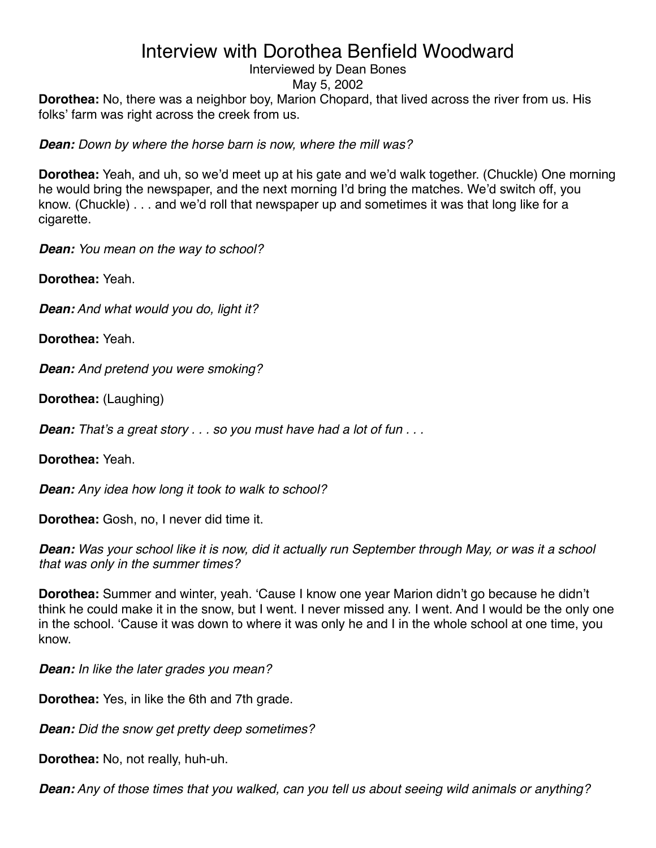### Interviewed by Dean Bones

May 5, 2002

**Dorothea:** No, there was a neighbor boy, Marion Chopard, that lived across the river from us. His folks' farm was right across the creek from us.

*Dean: Down by where the horse barn is now, where the mill was?*

**Dorothea:** Yeah, and uh, so we'd meet up at his gate and we'd walk together. (Chuckle) One morning he would bring the newspaper, and the next morning I'd bring the matches. We'd switch off, you know. (Chuckle) . . . and we'd roll that newspaper up and sometimes it was that long like for a cigarette.

*Dean: You mean on the way to school?*

**Dorothea:** Yeah.

*Dean: And what would you do, light it?*

**Dorothea:** Yeah.

*Dean: And pretend you were smoking?*

**Dorothea:** (Laughing)

*Dean: That*'*s a great story . . . so you must have had a lot of fun . . .*

**Dorothea:** Yeah.

*Dean: Any idea how long it took to walk to school?*

**Dorothea:** Gosh, no, I never did time it.

*Dean: Was your school like it is now, did it actually run September through May, or was it a school that was only in the summer times?*

**Dorothea:** Summer and winter, yeah. ʻCause I know one year Marion didn't go because he didn't think he could make it in the snow, but I went. I never missed any. I went. And I would be the only one in the school. ʻCause it was down to where it was only he and I in the whole school at one time, you know.

*Dean: In like the later grades you mean?*

**Dorothea:** Yes, in like the 6th and 7th grade.

*Dean: Did the snow get pretty deep sometimes?*

**Dorothea:** No, not really, huh-uh.

*Dean: Any of those times that you walked, can you tell us about seeing wild animals or anything?*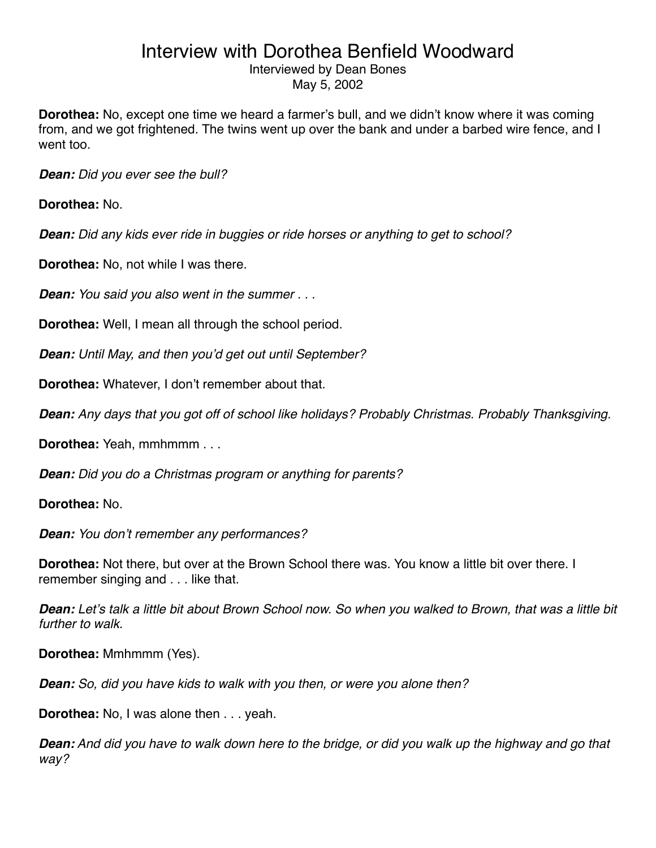#### Interviewed by Dean Bones May 5, 2002

**Dorothea:** No, except one time we heard a farmer's bull, and we didn't know where it was coming from, and we got frightened. The twins went up over the bank and under a barbed wire fence, and I went too.

*Dean: Did you ever see the bull?*

**Dorothea:** No.

*Dean: Did any kids ever ride in buggies or ride horses or anything to get to school?*

**Dorothea:** No, not while I was there.

*Dean: You said you also went in the summer . . .*

**Dorothea:** Well, I mean all through the school period.

*Dean: Until May, and then you*'*d get out until September?*

**Dorothea:** Whatever, I don't remember about that.

*Dean: Any days that you got off of school like holidays? Probably Christmas. Probably Thanksgiving.*

**Dorothea:** Yeah, mmhmmm . . .

*Dean: Did you do a Christmas program or anything for parents?*

**Dorothea:** No.

*Dean: You don*'*t remember any performances?*

**Dorothea:** Not there, but over at the Brown School there was. You know a little bit over there. I remember singing and . . . like that.

*Dean: Let*'*s talk a little bit about Brown School now. So when you walked to Brown, that was a little bit further to walk.*

**Dorothea:** Mmhmmm (Yes).

*Dean: So, did you have kids to walk with you then, or were you alone then?*

**Dorothea:** No, I was alone then . . . yeah.

*Dean: And did you have to walk down here to the bridge, or did you walk up the highway and go that way?*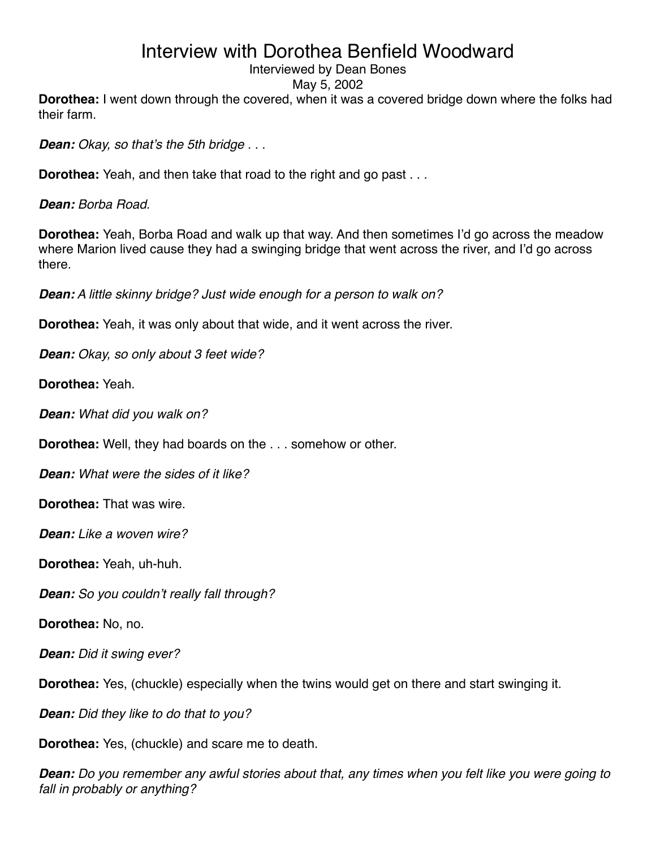### Interviewed by Dean Bones

May 5, 2002

**Dorothea:** I went down through the covered, when it was a covered bridge down where the folks had their farm.

*Dean: Okay, so that*'*s the 5th bridge . . .*

**Dorothea:** Yeah, and then take that road to the right and go past . . .

*Dean: Borba Road.*

**Dorothea:** Yeah, Borba Road and walk up that way. And then sometimes I'd go across the meadow where Marion lived cause they had a swinging bridge that went across the river, and I'd go across there.

*Dean: A little skinny bridge? Just wide enough for a person to walk on?*

**Dorothea:** Yeah, it was only about that wide, and it went across the river.

*Dean: Okay, so only about 3 feet wide?*

**Dorothea:** Yeah.

*Dean: What did you walk on?*

**Dorothea:** Well, they had boards on the . . . somehow or other.

*Dean: What were the sides of it like?*

**Dorothea:** That was wire.

*Dean: Like a woven wire?*

**Dorothea:** Yeah, uh-huh.

*Dean: So you couldn*'*t really fall through?*

**Dorothea:** No, no.

*Dean: Did it swing ever?*

**Dorothea:** Yes, (chuckle) especially when the twins would get on there and start swinging it.

*Dean: Did they like to do that to you?*

**Dorothea:** Yes, (chuckle) and scare me to death.

*Dean: Do you remember any awful stories about that, any times when you felt like you were going to fall in probably or anything?*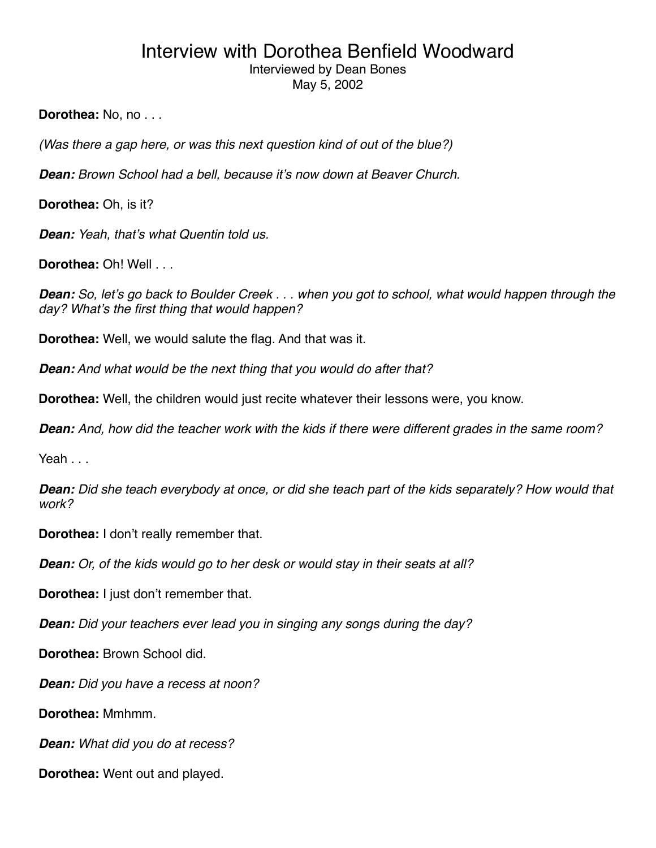Interviewed by Dean Bones May 5, 2002

**Dorothea:** No, no . . .

*(Was there a gap here, or was this next question kind of out of the blue?)*

*Dean: Brown School had a bell, because it*'*s now down at Beaver Church.*

**Dorothea:** Oh, is it?

*Dean: Yeah, that*'*s what Quentin told us.*

**Dorothea:** Oh! Well . . .

*Dean: So, let*'*s go back to Boulder Creek . . . when you got to school, what would happen through the day? What*'*s the first thing that would happen?*

**Dorothea:** Well, we would salute the flag. And that was it.

*Dean: And what would be the next thing that you would do after that?*

**Dorothea:** Well, the children would just recite whatever their lessons were, you know.

*Dean: And, how did the teacher work with the kids if there were different grades in the same room?*

Yeah . . .

*Dean: Did she teach everybody at once, or did she teach part of the kids separately? How would that work?*

**Dorothea:** I don't really remember that.

*Dean: Or, of the kids would go to her desk or would stay in their seats at all?*

**Dorothea:** I just don't remember that.

*Dean: Did your teachers ever lead you in singing any songs during the day?*

**Dorothea:** Brown School did.

*Dean: Did you have a recess at noon?*

**Dorothea:** Mmhmm.

*Dean: What did you do at recess?*

**Dorothea:** Went out and played.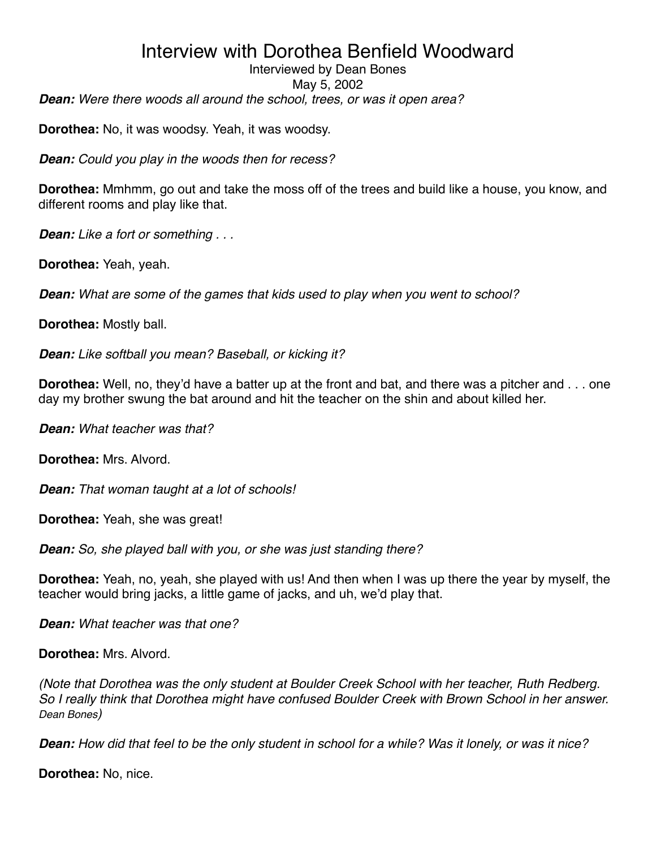*Dean: Were there woods all around the school, trees, or was it open area?* Interviewed by Dean Bones May 5, 2002

**Dorothea:** No, it was woodsy. Yeah, it was woodsy.

*Dean: Could you play in the woods then for recess?*

**Dorothea:** Mmhmm, go out and take the moss off of the trees and build like a house, you know, and different rooms and play like that.

*Dean: Like a fort or something . . .*

**Dorothea:** Yeah, yeah.

*Dean: What are some of the games that kids used to play when you went to school?* 

**Dorothea:** Mostly ball.

*Dean: Like softball you mean? Baseball, or kicking it?*

**Dorothea:** Well, no, they'd have a batter up at the front and bat, and there was a pitcher and . . . one day my brother swung the bat around and hit the teacher on the shin and about killed her.

*Dean: What teacher was that?*

**Dorothea:** Mrs. Alvord.

*Dean: That woman taught at a lot of schools!*

**Dorothea:** Yeah, she was great!

*Dean: So, she played ball with you, or she was just standing there?*

**Dorothea:** Yeah, no, yeah, she played with us! And then when I was up there the year by myself, the teacher would bring jacks, a little game of jacks, and uh, we'd play that.

*Dean: What teacher was that one?*

**Dorothea:** Mrs. Alvord.

*(Note that Dorothea was the only student at Boulder Creek School with her teacher, Ruth Redberg. So I really think that Dorothea might have confused Boulder Creek with Brown School in her answer. Dean Bones)*

*Dean: How did that feel to be the only student in school for a while? Was it lonely, or was it nice?*

**Dorothea:** No, nice.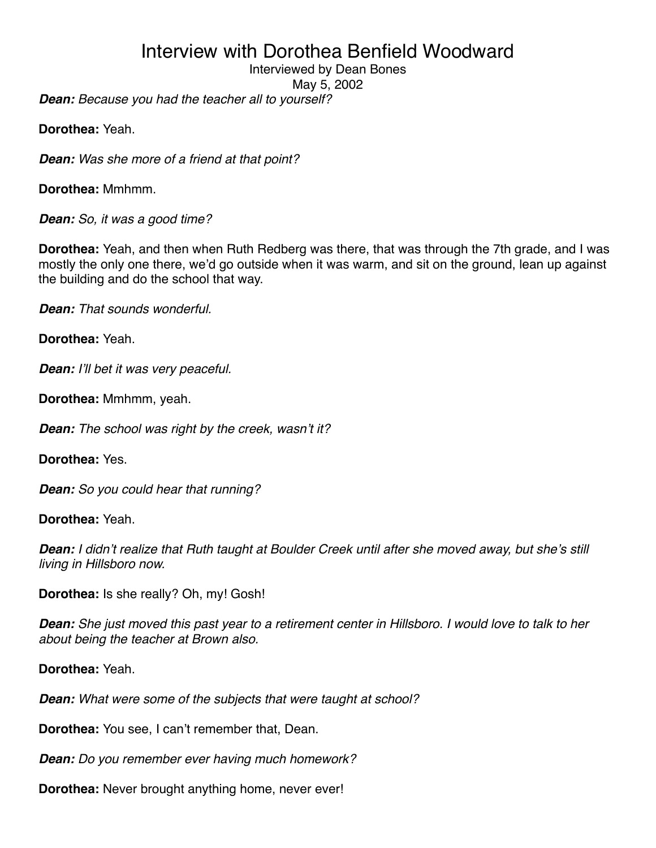Interviewed by Dean Bones

May 5, 2002

*Dean: Because you had the teacher all to yourself?*

**Dorothea:** Yeah.

*Dean: Was she more of a friend at that point?*

**Dorothea:** Mmhmm.

*Dean: So, it was a good time?*

**Dorothea:** Yeah, and then when Ruth Redberg was there, that was through the 7th grade, and I was mostly the only one there, we'd go outside when it was warm, and sit on the ground, lean up against the building and do the school that way.

*Dean: That sounds wonderful.*

**Dorothea:** Yeah.

*Dean: I*'*ll bet it was very peaceful.*

**Dorothea:** Mmhmm, yeah.

*Dean: The school was right by the creek, wasn*'*t it?*

**Dorothea:** Yes.

*Dean: So you could hear that running?*

**Dorothea:** Yeah.

*Dean: I didn*'*t realize that Ruth taught at Boulder Creek until after she moved away, but she*'*s still living in Hillsboro now.*

**Dorothea:** Is she really? Oh, my! Gosh!

*Dean: She just moved this past year to a retirement center in Hillsboro. I would love to talk to her about being the teacher at Brown also.*

**Dorothea:** Yeah.

*Dean: What were some of the subjects that were taught at school?*

**Dorothea:** You see, I can't remember that, Dean.

*Dean: Do you remember ever having much homework?*

**Dorothea:** Never brought anything home, never ever!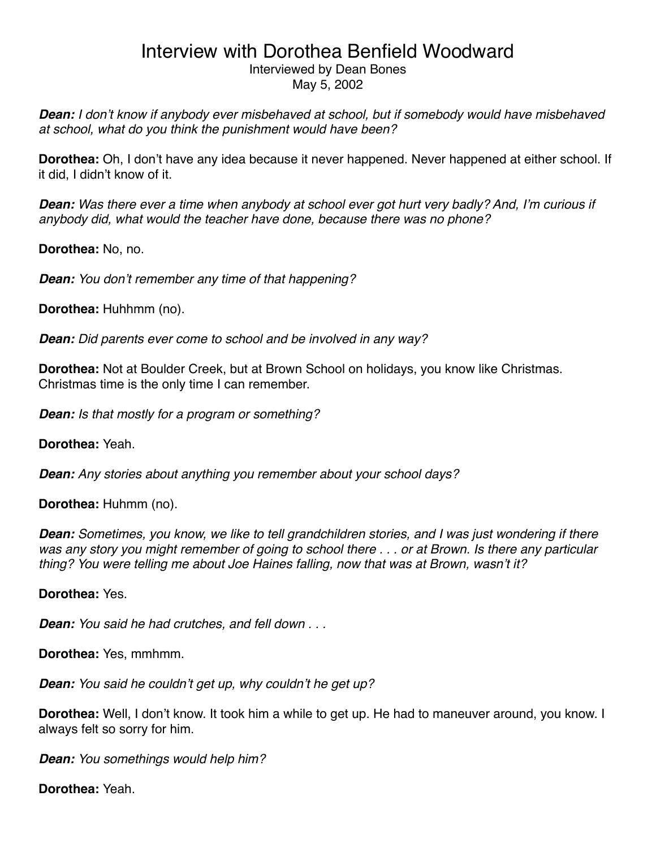#### Interviewed by Dean Bones May 5, 2002

*Dean: I don*'*t know if anybody ever misbehaved at school, but if somebody would have misbehaved at school, what do you think the punishment would have been?*

**Dorothea:** Oh, I don't have any idea because it never happened. Never happened at either school. If it did, I didn't know of it.

*Dean: Was there ever a time when anybody at school ever got hurt very badly? And, I*'*m curious if anybody did, what would the teacher have done, because there was no phone?*

**Dorothea:** No, no.

*Dean: You don*'*t remember any time of that happening?*

**Dorothea:** Huhhmm (no).

*Dean: Did parents ever come to school and be involved in any way?*

**Dorothea:** Not at Boulder Creek, but at Brown School on holidays, you know like Christmas. Christmas time is the only time I can remember.

*Dean: Is that mostly for a program or something?*

**Dorothea:** Yeah.

*Dean: Any stories about anything you remember about your school days?*

**Dorothea:** Huhmm (no).

*Dean: Sometimes, you know, we like to tell grandchildren stories, and I was just wondering if there was any story you might remember of going to school there . . . or at Brown. Is there any particular thing? You were telling me about Joe Haines falling, now that was at Brown, wasn*'*t it?*

**Dorothea:** Yes.

*Dean: You said he had crutches, and fell down . . .* 

**Dorothea:** Yes, mmhmm.

*Dean: You said he couldn*'*t get up, why couldn*'*t he get up?*

**Dorothea:** Well, I don't know. It took him a while to get up. He had to maneuver around, you know. I always felt so sorry for him.

*Dean: You somethings would help him?*

**Dorothea:** Yeah.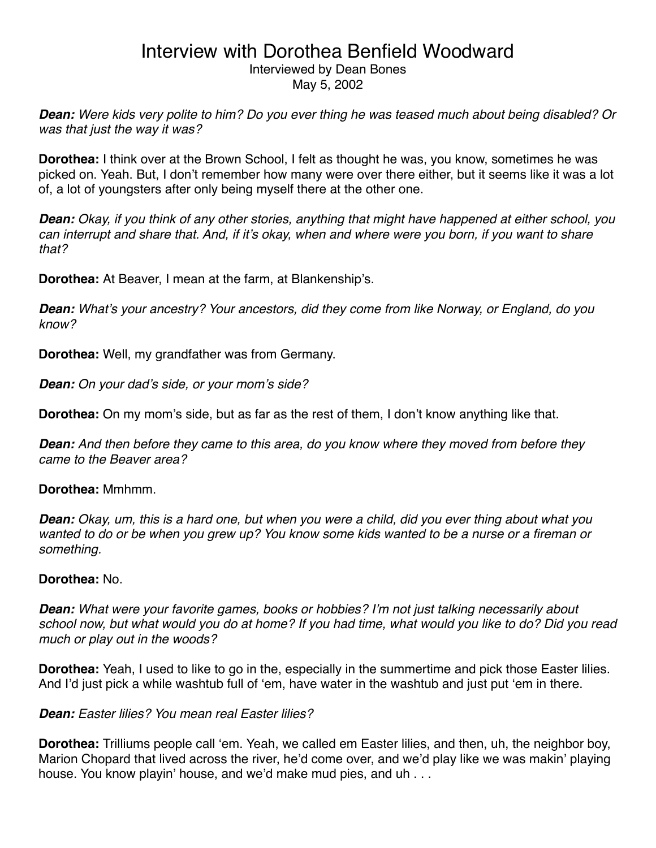Interviewed by Dean Bones May 5, 2002

*Dean: Were kids very polite to him? Do you ever thing he was teased much about being disabled? Or was that just the way it was?*

**Dorothea:** I think over at the Brown School, I felt as thought he was, you know, sometimes he was picked on. Yeah. But, I don't remember how many were over there either, but it seems like it was a lot of, a lot of youngsters after only being myself there at the other one.

*Dean: Okay, if you think of any other stories, anything that might have happened at either school, you can interrupt and share that. And, if it*'*s okay, when and where were you born, if you want to share that?*

**Dorothea:** At Beaver, I mean at the farm, at Blankenship's.

*Dean: What*'*s your ancestry? Your ancestors, did they come from like Norway, or England, do you know?*

**Dorothea:** Well, my grandfather was from Germany.

*Dean: On your dad*'*s side, or your mom*'*s side?*

**Dorothea:** On my mom's side, but as far as the rest of them, I don't know anything like that.

*Dean: And then before they came to this area, do you know where they moved from before they came to the Beaver area?*

**Dorothea:** Mmhmm.

*Dean: Okay, um, this is a hard one, but when you were a child, did you ever thing about what you wanted to do or be when you grew up? You know some kids wanted to be a nurse or a fireman or something.*

#### **Dorothea:** No.

*Dean: What were your favorite games, books or hobbies? I*'*m not just talking necessarily about school now, but what would you do at home? If you had time, what would you like to do? Did you read much or play out in the woods?*

**Dorothea:** Yeah, I used to like to go in the, especially in the summertime and pick those Easter lilies. And I'd just pick a while washtub full of ʻem, have water in the washtub and just put ʻem in there.

#### *Dean: Easter lilies? You mean real Easter lilies?*

**Dorothea:** Trilliums people call ʻem. Yeah, we called em Easter lilies, and then, uh, the neighbor boy, Marion Chopard that lived across the river, he'd come over, and we'd play like we was makin' playing house. You know playin' house, and we'd make mud pies, and uh . . .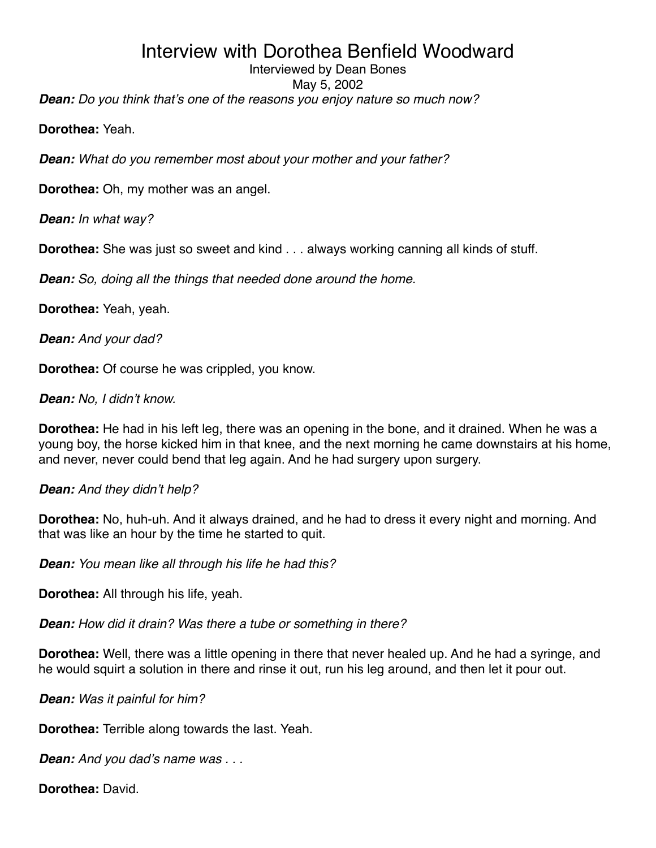### Interviewed by Dean Bones

May 5, 2002

*Dean: Do you think that*'*s one of the reasons you enjoy nature so much now?*

**Dorothea:** Yeah.

*Dean: What do you remember most about your mother and your father?*

**Dorothea:** Oh, my mother was an angel.

*Dean: In what way?*

**Dorothea:** She was just so sweet and kind . . . always working canning all kinds of stuff.

*Dean: So, doing all the things that needed done around the home.*

**Dorothea:** Yeah, yeah.

*Dean: And your dad?*

**Dorothea:** Of course he was crippled, you know.

*Dean: No, I didn*'*t know.*

**Dorothea:** He had in his left leg, there was an opening in the bone, and it drained. When he was a young boy, the horse kicked him in that knee, and the next morning he came downstairs at his home, and never, never could bend that leg again. And he had surgery upon surgery.

### *Dean: And they didn*'*t help?*

**Dorothea:** No, huh-uh. And it always drained, and he had to dress it every night and morning. And that was like an hour by the time he started to quit.

*Dean: You mean like all through his life he had this?*

**Dorothea:** All through his life, yeah.

*Dean: How did it drain? Was there a tube or something in there?*

**Dorothea:** Well, there was a little opening in there that never healed up. And he had a syringe, and he would squirt a solution in there and rinse it out, run his leg around, and then let it pour out.

*Dean: Was it painful for him?*

**Dorothea:** Terrible along towards the last. Yeah.

*Dean: And you dad*'*s name was . . .*

**Dorothea:** David.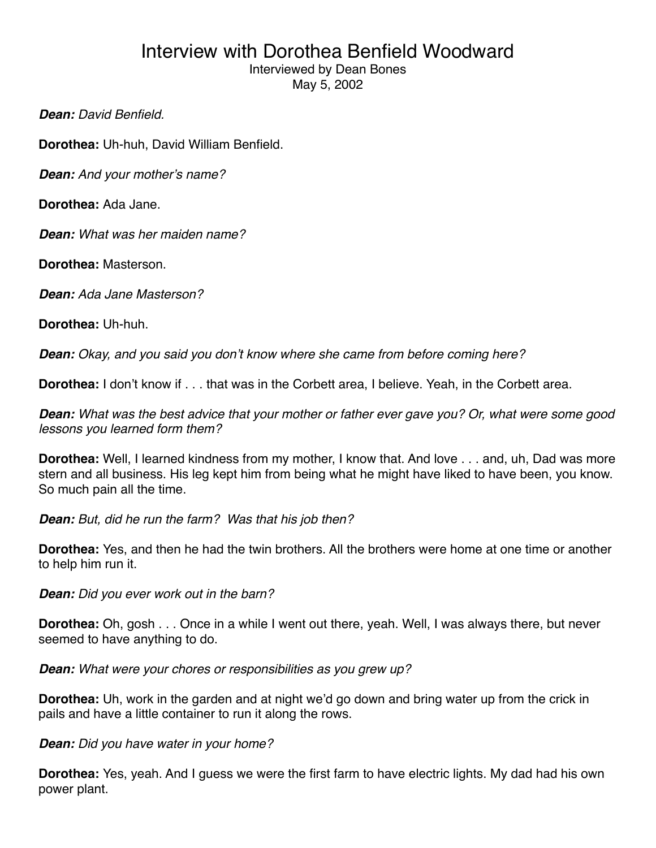Interviewed by Dean Bones May 5, 2002

*Dean: David Benfield.*

**Dorothea:** Uh-huh, David William Benfield.

*Dean: And your mother*'*s name?*

**Dorothea:** Ada Jane.

*Dean: What was her maiden name?*

**Dorothea:** Masterson.

*Dean: Ada Jane Masterson?*

**Dorothea:** Uh-huh.

*Dean: Okay, and you said you don*'*t know where she came from before coming here?*

**Dorothea:** I don't know if . . . that was in the Corbett area, I believe. Yeah, in the Corbett area.

*Dean: What was the best advice that your mother or father ever gave you? Or, what were some good lessons you learned form them?*

**Dorothea:** Well, I learned kindness from my mother, I know that. And love . . . and, uh, Dad was more stern and all business. His leg kept him from being what he might have liked to have been, you know. So much pain all the time.

*Dean: But, did he run the farm? Was that his job then?*

**Dorothea:** Yes, and then he had the twin brothers. All the brothers were home at one time or another to help him run it.

*Dean: Did you ever work out in the barn?*

**Dorothea:** Oh, gosh . . . Once in a while I went out there, yeah. Well, I was always there, but never seemed to have anything to do.

*Dean: What were your chores or responsibilities as you grew up?*

**Dorothea:** Uh, work in the garden and at night we'd go down and bring water up from the crick in pails and have a little container to run it along the rows.

### *Dean: Did you have water in your home?*

**Dorothea:** Yes, yeah. And I guess we were the first farm to have electric lights. My dad had his own power plant.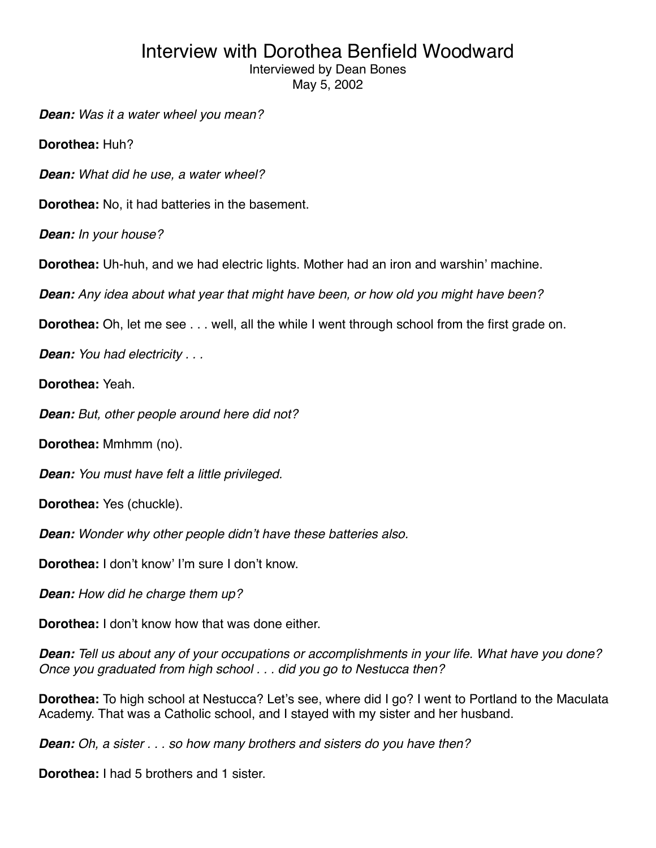Interviewed by Dean Bones

May 5, 2002

*Dean: Was it a water wheel you mean?*

**Dorothea:** Huh?

*Dean: What did he use, a water wheel?*

**Dorothea:** No, it had batteries in the basement.

*Dean: In your house?*

**Dorothea:** Uh-huh, and we had electric lights. Mother had an iron and warshin' machine.

*Dean: Any idea about what year that might have been, or how old you might have been?*

**Dorothea:** Oh, let me see . . . well, all the while I went through school from the first grade on.

*Dean: You had electricity . . .* 

**Dorothea:** Yeah.

*Dean: But, other people around here did not?*

**Dorothea:** Mmhmm (no).

*Dean: You must have felt a little privileged.*

**Dorothea:** Yes (chuckle).

*Dean: Wonder why other people didn*'*t have these batteries also.*

**Dorothea:** I don't know' I'm sure I don't know.

*Dean: How did he charge them up?*

**Dorothea:** I don't know how that was done either.

*Dean: Tell us about any of your occupations or accomplishments in your life. What have you done? Once you graduated from high school . . . did you go to Nestucca then?*

**Dorothea:** To high school at Nestucca? Let's see, where did I go? I went to Portland to the Maculata Academy. That was a Catholic school, and I stayed with my sister and her husband.

*Dean: Oh, a sister . . . so how many brothers and sisters do you have then?*

**Dorothea:** I had 5 brothers and 1 sister.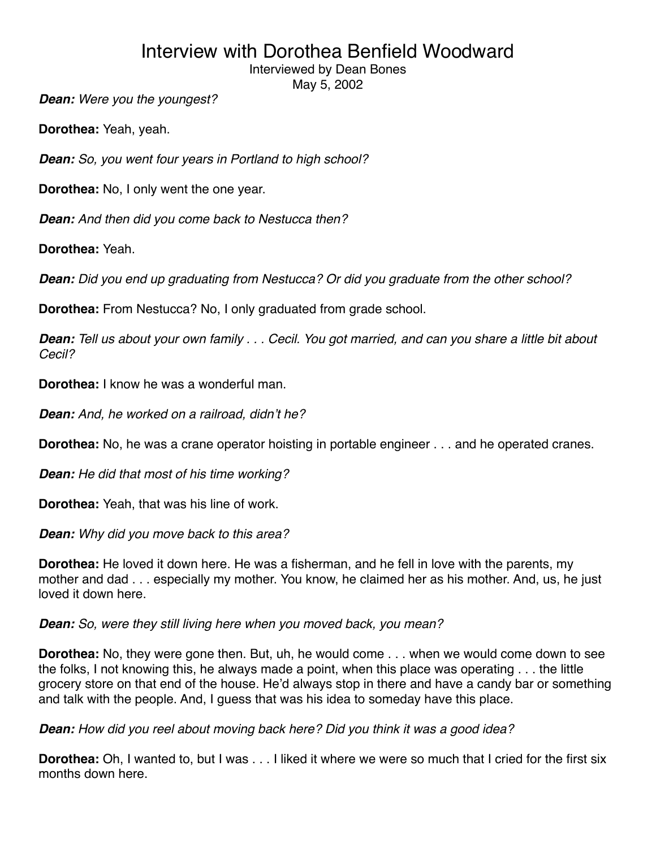Interviewed by Dean Bones

May 5, 2002

*Dean: Were you the youngest?*

**Dorothea:** Yeah, yeah.

*Dean: So, you went four years in Portland to high school?*

**Dorothea:** No, I only went the one year.

*Dean: And then did you come back to Nestucca then?*

**Dorothea:** Yeah.

*Dean: Did you end up graduating from Nestucca? Or did you graduate from the other school?*

**Dorothea:** From Nestucca? No, I only graduated from grade school.

*Dean: Tell us about your own family . . . Cecil. You got married, and can you share a little bit about Cecil?*

**Dorothea:** I know he was a wonderful man.

*Dean: And, he worked on a railroad, didn*'*t he?*

**Dorothea:** No, he was a crane operator hoisting in portable engineer . . . and he operated cranes.

*Dean: He did that most of his time working?*

**Dorothea:** Yeah, that was his line of work.

*Dean: Why did you move back to this area?*

**Dorothea:** He loved it down here. He was a fisherman, and he fell in love with the parents, my mother and dad . . . especially my mother. You know, he claimed her as his mother. And, us, he just loved it down here.

#### *Dean: So, were they still living here when you moved back, you mean?*

**Dorothea:** No, they were gone then. But, uh, he would come . . . when we would come down to see the folks, I not knowing this, he always made a point, when this place was operating . . . the little grocery store on that end of the house. He'd always stop in there and have a candy bar or something and talk with the people. And, I guess that was his idea to someday have this place.

*Dean: How did you reel about moving back here? Did you think it was a good idea?*

**Dorothea:** Oh, I wanted to, but I was . . . I liked it where we were so much that I cried for the first six months down here.